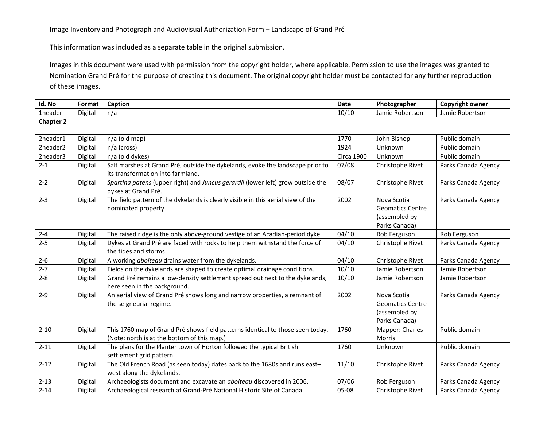This information was included as a separate table in the original submission.

Images in this document were used with permission from the copyright holder, where applicable. Permission to use the images was granted to Nomination Grand Pré for the purpose of creating this document. The original copyright holder must be contacted for any further reproduction of these images.

| Id. No           | Format  | Caption                                                                                                                       | <b>Date</b>       | Photographer                                                             | Copyright owner     |  |  |
|------------------|---------|-------------------------------------------------------------------------------------------------------------------------------|-------------------|--------------------------------------------------------------------------|---------------------|--|--|
| 1header          | Digital | n/a                                                                                                                           | 10/10             | Jamie Robertson                                                          | Jamie Robertson     |  |  |
| <b>Chapter 2</b> |         |                                                                                                                               |                   |                                                                          |                     |  |  |
| 2header1         | Digital | n/a (old map)                                                                                                                 | 1770              | John Bishop                                                              | Public domain       |  |  |
| 2header2         | Digital | n/a (cross)                                                                                                                   | 1924              | Unknown                                                                  | Public domain       |  |  |
| 2header3         | Digital | n/a (old dykes)                                                                                                               | <b>Circa 1900</b> | Unknown                                                                  | Public domain       |  |  |
| $2 - 1$          | Digital | Salt marshes at Grand Pré, outside the dykelands, evoke the landscape prior to<br>its transformation into farmland.           | 07/08             | Christophe Rivet                                                         | Parks Canada Agency |  |  |
| $2 - 2$          | Digital | Spartina patens (upper right) and Juncus gerardii (lower left) grow outside the<br>dykes at Grand Pré.                        | 08/07             | Christophe Rivet                                                         | Parks Canada Agency |  |  |
| $2 - 3$          | Digital | The field pattern of the dykelands is clearly visible in this aerial view of the<br>nominated property.                       | 2002              | Nova Scotia<br><b>Geomatics Centre</b><br>(assembled by<br>Parks Canada) | Parks Canada Agency |  |  |
| $2 - 4$          | Digital | The raised ridge is the only above-ground vestige of an Acadian-period dyke.                                                  | 04/10             | Rob Ferguson                                                             | Rob Ferguson        |  |  |
| $2 - 5$          | Digital | Dykes at Grand Pré are faced with rocks to help them withstand the force of<br>the tides and storms.                          | 04/10             | Christophe Rivet                                                         | Parks Canada Agency |  |  |
| $2 - 6$          | Digital | A working aboiteau drains water from the dykelands.                                                                           | 04/10             | Christophe Rivet                                                         | Parks Canada Agency |  |  |
| $2 - 7$          | Digital | Fields on the dykelands are shaped to create optimal drainage conditions.                                                     | 10/10             | Jamie Robertson                                                          | Jamie Robertson     |  |  |
| $2 - 8$          | Digital | Grand Pré remains a low-density settlement spread out next to the dykelands,<br>here seen in the background.                  | 10/10             | Jamie Robertson                                                          | Jamie Robertson     |  |  |
| $2 - 9$          | Digital | An aerial view of Grand Pré shows long and narrow properties, a remnant of<br>the seigneurial regime.                         | 2002              | Nova Scotia<br><b>Geomatics Centre</b><br>(assembled by<br>Parks Canada) | Parks Canada Agency |  |  |
| $2 - 10$         | Digital | This 1760 map of Grand Pré shows field patterns identical to those seen today.<br>(Note: north is at the bottom of this map.) | 1760              | Mapper: Charles<br>Morris                                                | Public domain       |  |  |
| $2 - 11$         | Digital | The plans for the Planter town of Horton followed the typical British<br>settlement grid pattern.                             | 1760              | Unknown                                                                  | Public domain       |  |  |
| $2 - 12$         | Digital | The Old French Road (as seen today) dates back to the 1680s and runs east-<br>west along the dykelands.                       | 11/10             | Christophe Rivet                                                         | Parks Canada Agency |  |  |
| $2 - 13$         | Digital | Archaeologists document and excavate an aboiteau discovered in 2006.                                                          | 07/06             | Rob Ferguson                                                             | Parks Canada Agency |  |  |
| $2 - 14$         | Digital | Archaeological research at Grand-Pré National Historic Site of Canada.                                                        | 05-08             | Christophe Rivet                                                         | Parks Canada Agency |  |  |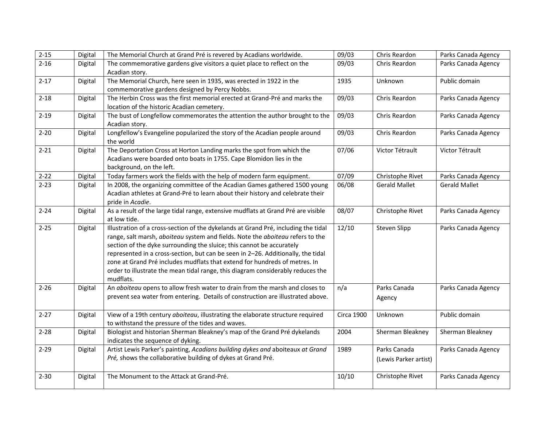| $2 - 15$ | Digital | The Memorial Church at Grand Pré is revered by Acadians worldwide.                                                                                                                                                                                                                                                                                                                                                                                                                                              | 09/03             | Chris Reardon                         | Parks Canada Agency  |
|----------|---------|-----------------------------------------------------------------------------------------------------------------------------------------------------------------------------------------------------------------------------------------------------------------------------------------------------------------------------------------------------------------------------------------------------------------------------------------------------------------------------------------------------------------|-------------------|---------------------------------------|----------------------|
| $2 - 16$ | Digital | The commemorative gardens give visitors a quiet place to reflect on the<br>Acadian story.                                                                                                                                                                                                                                                                                                                                                                                                                       | 09/03             | Chris Reardon                         | Parks Canada Agency  |
| $2 - 17$ | Digital | The Memorial Church, here seen in 1935, was erected in 1922 in the<br>commemorative gardens designed by Percy Nobbs.                                                                                                                                                                                                                                                                                                                                                                                            | 1935              | Unknown                               | Public domain        |
| $2 - 18$ | Digital | The Herbin Cross was the first memorial erected at Grand-Pré and marks the<br>location of the historic Acadian cemetery.                                                                                                                                                                                                                                                                                                                                                                                        | 09/03             | Chris Reardon                         | Parks Canada Agency  |
| $2 - 19$ | Digital | The bust of Longfellow commemorates the attention the author brought to the<br>Acadian story.                                                                                                                                                                                                                                                                                                                                                                                                                   | 09/03             | Chris Reardon                         | Parks Canada Agency  |
| $2 - 20$ | Digital | Longfellow's Evangeline popularized the story of the Acadian people around<br>the world                                                                                                                                                                                                                                                                                                                                                                                                                         | 09/03             | Chris Reardon                         | Parks Canada Agency  |
| $2 - 21$ | Digital | The Deportation Cross at Horton Landing marks the spot from which the<br>Acadians were boarded onto boats in 1755. Cape Blomidon lies in the<br>background, on the left.                                                                                                                                                                                                                                                                                                                                        | 07/06             | Victor Tétrault                       | Victor Tétrault      |
| $2 - 22$ | Digital | Today farmers work the fields with the help of modern farm equipment.                                                                                                                                                                                                                                                                                                                                                                                                                                           | 07/09             | Christophe Rivet                      | Parks Canada Agency  |
| $2 - 23$ | Digital | In 2008, the organizing committee of the Acadian Games gathered 1500 young<br>Acadian athletes at Grand-Pré to learn about their history and celebrate their<br>pride in Acadie.                                                                                                                                                                                                                                                                                                                                | 06/08             | <b>Gerald Mallet</b>                  | <b>Gerald Mallet</b> |
| $2 - 24$ | Digital | As a result of the large tidal range, extensive mudflats at Grand Pré are visible<br>at low tide.                                                                                                                                                                                                                                                                                                                                                                                                               | 08/07             | Christophe Rivet                      | Parks Canada Agency  |
| $2 - 25$ | Digital | Illustration of a cross-section of the dykelands at Grand Pré, including the tidal<br>range, salt marsh, aboiteau system and fields. Note the aboiteau refers to the<br>section of the dyke surrounding the sluice; this cannot be accurately<br>represented in a cross-section, but can be seen in 2-26. Additionally, the tidal<br>zone at Grand Pré includes mudflats that extend for hundreds of metres. In<br>order to illustrate the mean tidal range, this diagram considerably reduces the<br>mudflats. | 12/10             | <b>Steven Slipp</b>                   | Parks Canada Agency  |
| $2 - 26$ | Digital | An aboiteau opens to allow fresh water to drain from the marsh and closes to<br>prevent sea water from entering. Details of construction are illustrated above.                                                                                                                                                                                                                                                                                                                                                 | n/a               | Parks Canada<br>Agency                | Parks Canada Agency  |
| $2 - 27$ | Digital | View of a 19th century aboiteau, illustrating the elaborate structure required<br>to withstand the pressure of the tides and waves.                                                                                                                                                                                                                                                                                                                                                                             | <b>Circa 1900</b> | Unknown                               | Public domain        |
| $2 - 28$ | Digital | Biologist and historian Sherman Bleakney's map of the Grand Pré dykelands<br>indicates the sequence of dyking.                                                                                                                                                                                                                                                                                                                                                                                                  | 2004              | Sherman Bleakney                      | Sherman Bleakney     |
| $2 - 29$ | Digital | Artist Lewis Parker's painting, Acadians building dykes and aboiteaux at Grand<br>Pré, shows the collaborative building of dykes at Grand Pré.                                                                                                                                                                                                                                                                                                                                                                  | 1989              | Parks Canada<br>(Lewis Parker artist) | Parks Canada Agency  |
| $2 - 30$ | Digital | The Monument to the Attack at Grand-Pré.                                                                                                                                                                                                                                                                                                                                                                                                                                                                        | 10/10             | Christophe Rivet                      | Parks Canada Agency  |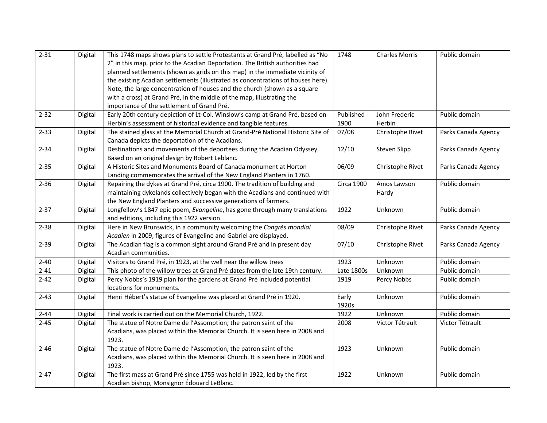| $2 - 31$ | Digital | This 1748 maps shows plans to settle Protestants at Grand Pré, labelled as "No   | 1748              | <b>Charles Morris</b> | Public domain       |
|----------|---------|----------------------------------------------------------------------------------|-------------------|-----------------------|---------------------|
|          |         | 2" in this map, prior to the Acadian Deportation. The British authorities had    |                   |                       |                     |
|          |         | planned settlements (shown as grids on this map) in the immediate vicinity of    |                   |                       |                     |
|          |         | the existing Acadian settlements (illustrated as concentrations of houses here). |                   |                       |                     |
|          |         | Note, the large concentration of houses and the church (shown as a square        |                   |                       |                     |
|          |         | with a cross) at Grand Pré, in the middle of the map, illustrating the           |                   |                       |                     |
|          |         | importance of the settlement of Grand Pré.                                       |                   |                       |                     |
| $2 - 32$ | Digital | Early 20th century depiction of Lt-Col. Winslow's camp at Grand Pré, based on    | Published         | John Frederic         | Public domain       |
|          |         | Herbin's assessment of historical evidence and tangible features.                | 1900              | Herbin                |                     |
| $2 - 33$ | Digital | The stained glass at the Memorial Church at Grand-Pré National Historic Site of  | 07/08             | Christophe Rivet      | Parks Canada Agency |
|          |         | Canada depicts the deportation of the Acadians.                                  |                   |                       |                     |
| $2 - 34$ | Digital | Destinations and movements of the deportees during the Acadian Odyssey.          | 12/10             | Steven Slipp          | Parks Canada Agency |
|          |         | Based on an original design by Robert Leblanc.                                   |                   |                       |                     |
| $2 - 35$ | Digital | A Historic Sites and Monuments Board of Canada monument at Horton                | 06/09             | Christophe Rivet      | Parks Canada Agency |
|          |         | Landing commemorates the arrival of the New England Planters in 1760.            |                   |                       |                     |
| $2 - 36$ | Digital | Repairing the dykes at Grand Pré, circa 1900. The tradition of building and      | <b>Circa 1900</b> | Amos Lawson           | Public domain       |
|          |         | maintaining dykelands collectively began with the Acadians and continued with    |                   | Hardy                 |                     |
|          |         | the New England Planters and successive generations of farmers.                  |                   |                       |                     |
| $2 - 37$ | Digital | Longfellow's 1847 epic poem, Evangeline, has gone through many translations      | 1922              | Unknown               | Public domain       |
|          |         | and editions, including this 1922 version.                                       |                   |                       |                     |
| $2 - 38$ | Digital | Here in New Brunswick, in a community welcoming the Congrès mondial              | 08/09             | Christophe Rivet      | Parks Canada Agency |
|          |         | Acadien in 2009, figures of Evangeline and Gabriel are displayed.                |                   |                       |                     |
| $2 - 39$ | Digital | The Acadian flag is a common sight around Grand Pré and in present day           | 07/10             | Christophe Rivet      | Parks Canada Agency |
|          |         | Acadian communities.                                                             |                   |                       |                     |
| $2 - 40$ | Digital | Visitors to Grand Pré, in 1923, at the well near the willow trees                | 1923              | Unknown               | Public domain       |
| $2 - 41$ | Digital | This photo of the willow trees at Grand Pré dates from the late 19th century.    | Late 1800s        | Unknown               | Public domain       |
| $2 - 42$ | Digital | Percy Nobbs's 1919 plan for the gardens at Grand Pré included potential          | 1919              | Percy Nobbs           | Public domain       |
|          |         | locations for monuments.                                                         |                   |                       |                     |
| $2 - 43$ | Digital | Henri Hébert's statue of Evangeline was placed at Grand Pré in 1920.             | Early             | Unknown               | Public domain       |
|          |         |                                                                                  | 1920s             |                       |                     |
| $2 - 44$ | Digital | Final work is carried out on the Memorial Church, 1922.                          | 1922              | Unknown               | Public domain       |
| $2 - 45$ | Digital | The statue of Notre Dame de l'Assomption, the patron saint of the                | 2008              | Victor Tétrault       | Victor Tétrault     |
|          |         | Acadians, was placed within the Memorial Church. It is seen here in 2008 and     |                   |                       |                     |
|          |         | 1923.                                                                            |                   |                       |                     |
| $2 - 46$ | Digital | The statue of Notre Dame de l'Assomption, the patron saint of the                | 1923              | Unknown               | Public domain       |
|          |         | Acadians, was placed within the Memorial Church. It is seen here in 2008 and     |                   |                       |                     |
|          |         | 1923.                                                                            |                   |                       |                     |
| $2 - 47$ | Digital | The first mass at Grand Pré since 1755 was held in 1922, led by the first        | 1922              | Unknown               | Public domain       |
|          |         | Acadian bishop, Monsignor Édouard LeBlanc.                                       |                   |                       |                     |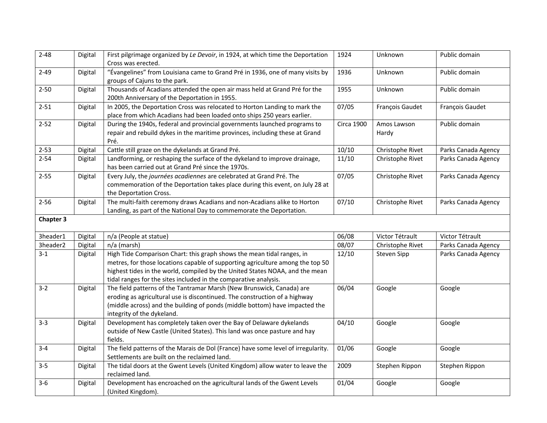| $2 - 48$         |         |                                                                                                                | 1924              | Unknown          | Public domain       |
|------------------|---------|----------------------------------------------------------------------------------------------------------------|-------------------|------------------|---------------------|
|                  | Digital | First pilgrimage organized by Le Devoir, in 1924, at which time the Deportation<br>Cross was erected.          |                   |                  |                     |
|                  |         |                                                                                                                |                   |                  |                     |
| $2 - 49$         | Digital | "Évangelines" from Louisiana came to Grand Pré in 1936, one of many visits by<br>groups of Cajuns to the park. | 1936              | Unknown          | Public domain       |
| $2 - 50$         | Digital | Thousands of Acadians attended the open air mass held at Grand Pré for the                                     | 1955              | Unknown          | Public domain       |
|                  |         | 200th Anniversary of the Deportation in 1955.                                                                  |                   |                  |                     |
| $2 - 51$         | Digital | In 2005, the Deportation Cross was relocated to Horton Landing to mark the                                     | 07/05             | François Gaudet  | François Gaudet     |
|                  |         | place from which Acadians had been loaded onto ships 250 years earlier.                                        |                   |                  |                     |
| $2 - 52$         | Digital | During the 1940s, federal and provincial governments launched programs to                                      | <b>Circa 1900</b> | Amos Lawson      | Public domain       |
|                  |         | repair and rebuild dykes in the maritime provinces, including these at Grand                                   |                   | Hardy            |                     |
|                  |         | Pré.                                                                                                           |                   |                  |                     |
| $2 - 53$         | Digital | Cattle still graze on the dykelands at Grand Pré.                                                              | 10/10             | Christophe Rivet | Parks Canada Agency |
| $2 - 54$         | Digital | Landforming, or reshaping the surface of the dykeland to improve drainage,                                     | 11/10             | Christophe Rivet | Parks Canada Agency |
|                  |         | has been carried out at Grand Pré since the 1970s.                                                             |                   |                  |                     |
| $2 - 55$         | Digital | Every July, the journées acadiennes are celebrated at Grand Pré. The                                           | 07/05             | Christophe Rivet | Parks Canada Agency |
|                  |         | commemoration of the Deportation takes place during this event, on July 28 at                                  |                   |                  |                     |
|                  |         | the Deportation Cross.                                                                                         |                   |                  |                     |
| $2 - 56$         | Digital | The multi-faith ceremony draws Acadians and non-Acadians alike to Horton                                       | 07/10             | Christophe Rivet | Parks Canada Agency |
|                  |         | Landing, as part of the National Day to commemorate the Deportation.                                           |                   |                  |                     |
| <b>Chapter 3</b> |         |                                                                                                                |                   |                  |                     |
|                  |         |                                                                                                                |                   |                  |                     |
| 3header1         | Digital | n/a (People at statue)                                                                                         | 06/08             | Victor Tétrault  | Victor Tétrault     |
| 3header2         | Digital | n/a (marsh)                                                                                                    | 08/07             | Christophe Rivet | Parks Canada Agency |
| $3-1$            | Digital | High Tide Comparison Chart: this graph shows the mean tidal ranges, in                                         | 12/10             | Steven Sipp      | Parks Canada Agency |
|                  |         | metres, for those locations capable of supporting agriculture among the top 50                                 |                   |                  |                     |
|                  |         | highest tides in the world, compiled by the United States NOAA, and the mean                                   |                   |                  |                     |
|                  |         |                                                                                                                |                   |                  |                     |
| $3-2$            |         | tidal ranges for the sites included in the comparative analysis.                                               |                   |                  |                     |
|                  | Digital | The field patterns of the Tantramar Marsh (New Brunswick, Canada) are                                          | 06/04             | Google           | Google              |
|                  |         | eroding as agricultural use is discontinued. The construction of a highway                                     |                   |                  |                     |
|                  |         | (middle across) and the building of ponds (middle bottom) have impacted the                                    |                   |                  |                     |
|                  |         | integrity of the dykeland.                                                                                     |                   |                  |                     |
| $3 - 3$          | Digital | Development has completely taken over the Bay of Delaware dykelands                                            | 04/10             | Google           | Google              |
|                  |         | outside of New Castle (United States). This land was once pasture and hay                                      |                   |                  |                     |
|                  |         | fields.                                                                                                        |                   |                  |                     |
| $3 - 4$          | Digital | The field patterns of the Marais de Dol (France) have some level of irregularity.                              | 01/06             | Google           | Google              |
|                  |         | Settlements are built on the reclaimed land.                                                                   |                   |                  |                     |
| $3 - 5$          | Digital | The tidal doors at the Gwent Levels (United Kingdom) allow water to leave the                                  | 2009              | Stephen Rippon   | Stephen Rippon      |
|                  |         | reclaimed land.                                                                                                |                   |                  |                     |
| $3-6$            | Digital | Development has encroached on the agricultural lands of the Gwent Levels                                       | 01/04             | Google           | Google              |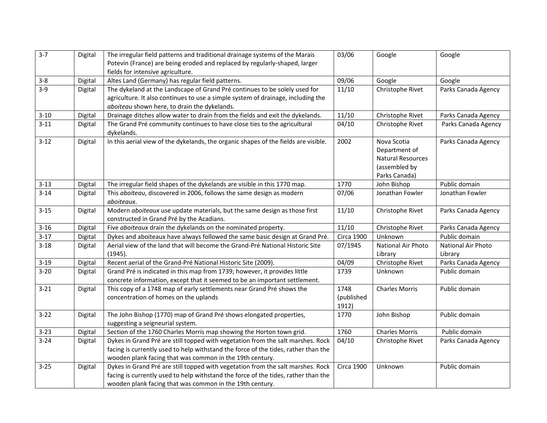| $3 - 7$  | Digital | The irregular field patterns and traditional drainage systems of the Marais         | 03/06             | Google                   | Google              |
|----------|---------|-------------------------------------------------------------------------------------|-------------------|--------------------------|---------------------|
|          |         | Potevin (France) are being eroded and replaced by regularly-shaped, larger          |                   |                          |                     |
|          |         | fields for intensive agriculture.                                                   |                   |                          |                     |
| $3 - 8$  | Digital | Altes Land (Germany) has regular field patterns.                                    | 09/06             | Google                   | Google              |
| $3-9$    | Digital | The dykeland at the Landscape of Grand Pré continues to be solely used for          | 11/10             | Christophe Rivet         | Parks Canada Agency |
|          |         | agriculture. It also continues to use a simple system of drainage, including the    |                   |                          |                     |
|          |         | aboiteau shown here, to drain the dykelands.                                        |                   |                          |                     |
| $3 - 10$ | Digital | Drainage ditches allow water to drain from the fields and exit the dykelands.       | 11/10             | Christophe Rivet         | Parks Canada Agency |
| $3 - 11$ | Digital | The Grand Pré community continues to have close ties to the agricultural            | 04/10             | Christophe Rivet         | Parks Canada Agency |
|          |         | dykelands.                                                                          |                   |                          |                     |
| $3 - 12$ | Digital | In this aerial view of the dykelands, the organic shapes of the fields are visible. | 2002              | Nova Scotia              | Parks Canada Agency |
|          |         |                                                                                     |                   | Department of            |                     |
|          |         |                                                                                     |                   | <b>Natural Resources</b> |                     |
|          |         |                                                                                     |                   | (assembled by            |                     |
|          |         |                                                                                     |                   | Parks Canada)            |                     |
| $3 - 13$ | Digital | The irregular field shapes of the dykelands are visible in this 1770 map.           | 1770              | John Bishop              | Public domain       |
| $3 - 14$ | Digital | This aboiteau, discovered in 2006, follows the same design as modern                | 07/06             | Jonathan Fowler          | Jonathan Fowler     |
|          |         | aboiteaux.                                                                          |                   |                          |                     |
| $3 - 15$ | Digital | Modern aboiteaux use update materials, but the same design as those first           | 11/10             | Christophe Rivet         | Parks Canada Agency |
|          |         | constructed in Grand Pré by the Acadians.                                           |                   |                          |                     |
| $3 - 16$ | Digital | Five aboiteaux drain the dykelands on the nominated property.                       | 11/10             | Christophe Rivet         | Parks Canada Agency |
| $3 - 17$ | Digital | Dykes and aboiteaux have always followed the same basic design at Grand Pré.        | <b>Circa 1900</b> | Unknown                  | Public domain       |
| $3 - 18$ | Digital | Aerial view of the land that will become the Grand-Pré National Historic Site       | 07/1945           | National Air Photo       | National Air Photo  |
|          |         | (1945).                                                                             |                   | Library                  | Library             |
| $3 - 19$ | Digital | Recent aerial of the Grand-Pré National Historic Site (2009).                       | 04/09             | Christophe Rivet         | Parks Canada Agency |
| $3 - 20$ | Digital | Grand Pré is indicated in this map from 1739; however, it provides little           | 1739              | Unknown                  | Public domain       |
|          |         | concrete information, except that it seemed to be an important settlement.          |                   |                          |                     |
| $3 - 21$ | Digital | This copy of a 1748 map of early settlements near Grand Pré shows the               | 1748              | <b>Charles Morris</b>    | Public domain       |
|          |         | concentration of homes on the uplands                                               | (published        |                          |                     |
|          |         |                                                                                     | 1912)             |                          |                     |
| $3 - 22$ | Digital | The John Bishop (1770) map of Grand Pré shows elongated properties,                 | 1770              | John Bishop              | Public domain       |
|          |         | suggesting a seigneurial system.                                                    |                   |                          |                     |
| $3 - 23$ | Digital | Section of the 1760 Charles Morris map showing the Horton town grid.                | 1760              | <b>Charles Morris</b>    | Public domain       |
| $3 - 24$ | Digital | Dykes in Grand Pré are still topped with vegetation from the salt marshes. Rock     | 04/10             | Christophe Rivet         | Parks Canada Agency |
|          |         | facing is currently used to help withstand the force of the tides, rather than the  |                   |                          |                     |
|          |         | wooden plank facing that was common in the 19th century.                            |                   |                          |                     |
| $3 - 25$ | Digital | Dykes in Grand Pré are still topped with vegetation from the salt marshes. Rock     | <b>Circa 1900</b> | Unknown                  | Public domain       |
|          |         | facing is currently used to help withstand the force of the tides, rather than the  |                   |                          |                     |
|          |         | wooden plank facing that was common in the 19th century.                            |                   |                          |                     |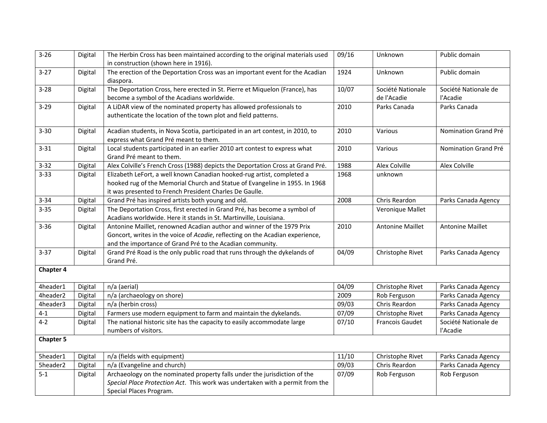| $3 - 26$         | Digital | The Herbin Cross has been maintained according to the original materials used<br>in construction (shown here in 1916).                                                                                              | 09/16 | Unknown                          | Public domain                    |
|------------------|---------|---------------------------------------------------------------------------------------------------------------------------------------------------------------------------------------------------------------------|-------|----------------------------------|----------------------------------|
| $3 - 27$         | Digital | The erection of the Deportation Cross was an important event for the Acadian<br>diaspora.                                                                                                                           | 1924  | Unknown                          | Public domain                    |
| $3 - 28$         | Digital | The Deportation Cross, here erected in St. Pierre et Miquelon (France), has<br>become a symbol of the Acadians worldwide.                                                                                           | 10/07 | Société Nationale<br>de l'Acadie | Société Nationale de<br>l'Acadie |
| $3 - 29$         | Digital | A LiDAR view of the nominated property has allowed professionals to<br>authenticate the location of the town plot and field patterns.                                                                               | 2010  | Parks Canada                     | Parks Canada                     |
| $3 - 30$         | Digital | Acadian students, in Nova Scotia, participated in an art contest, in 2010, to<br>express what Grand Pré meant to them.                                                                                              | 2010  | Various                          | Nomination Grand Pré             |
| $3 - 31$         | Digital | Local students participated in an earlier 2010 art contest to express what<br>Grand Pré meant to them.                                                                                                              | 2010  | Various                          | Nomination Grand Pré             |
| $3 - 32$         | Digital | Alex Colville's French Cross (1988) depicts the Deportation Cross at Grand Pré.                                                                                                                                     | 1988  | Alex Colville                    | Alex Colville                    |
| $3 - 33$         | Digital | Elizabeth LeFort, a well known Canadian hooked-rug artist, completed a<br>hooked rug of the Memorial Church and Statue of Evangeline in 1955. In 1968<br>it was presented to French President Charles De Gaulle.    | 1968  | unknown                          |                                  |
| $3 - 34$         | Digital | Grand Pré has inspired artists both young and old.                                                                                                                                                                  | 2008  | Chris Reardon                    | Parks Canada Agency              |
| $3 - 35$         | Digital | The Deportation Cross, first erected in Grand Pré, has become a symbol of<br>Acadians worldwide. Here it stands in St. Martinville, Louisiana.                                                                      |       | Veronique Mallet                 |                                  |
| $3 - 36$         | Digital | Antonine Maillet, renowned Acadian author and winner of the 1979 Prix<br>Goncort, writes in the voice of Acadie, reflecting on the Acadian experience,<br>and the importance of Grand Pré to the Acadian community. | 2010  | <b>Antonine Maillet</b>          | <b>Antonine Maillet</b>          |
| $3 - 37$         | Digital | Grand Pré Road is the only public road that runs through the dykelands of<br>Grand Pré.                                                                                                                             | 04/09 | Christophe Rivet                 | Parks Canada Agency              |
| <b>Chapter 4</b> |         |                                                                                                                                                                                                                     |       |                                  |                                  |
| 4header1         | Digital | n/a (aerial)                                                                                                                                                                                                        | 04/09 | Christophe Rivet                 | Parks Canada Agency              |
| 4header2         | Digital | n/a (archaeology on shore)                                                                                                                                                                                          | 2009  | Rob Ferguson                     | Parks Canada Agency              |
| 4header3         | Digital | n/a (herbin cross)                                                                                                                                                                                                  | 09/03 | Chris Reardon                    | Parks Canada Agency              |
| $4 - 1$          | Digital | Farmers use modern equipment to farm and maintain the dykelands.                                                                                                                                                    | 07/09 | Christophe Rivet                 | Parks Canada Agency              |
| $4-2$            | Digital | The national historic site has the capacity to easily accommodate large                                                                                                                                             | 07/10 | <b>Francois Gaudet</b>           | Société Nationale de             |
|                  |         | numbers of visitors.                                                                                                                                                                                                |       |                                  | l'Acadie                         |
| <b>Chapter 5</b> |         |                                                                                                                                                                                                                     |       |                                  |                                  |
| 5header1         | Digital | n/a (fields with equipment)                                                                                                                                                                                         | 11/10 | Christophe Rivet                 | Parks Canada Agency              |
| 5header2         | Digital | n/a (Evangeline and church)                                                                                                                                                                                         | 09/03 | Chris Reardon                    | Parks Canada Agency              |
| $5 - 1$          | Digital | Archaeology on the nominated property falls under the jurisdiction of the<br>Special Place Protection Act. This work was undertaken with a permit from the<br>Special Places Program.                               | 07/09 | Rob Ferguson                     | Rob Ferguson                     |